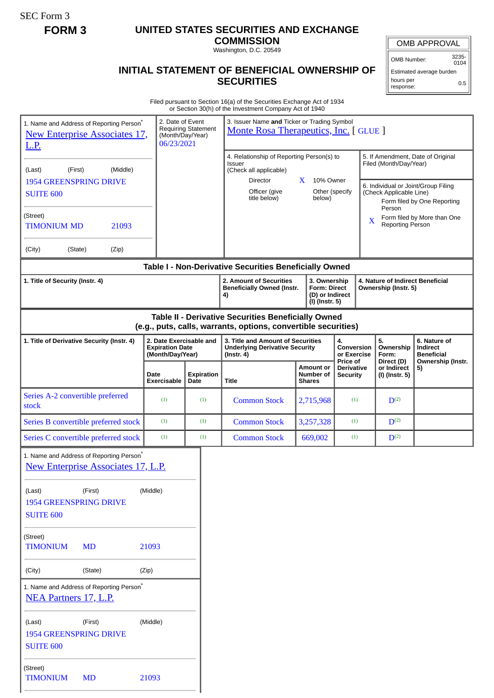SEC Form 3

## **FORM 3 UNITED STATES SECURITIES AND EXCHANGE**

**COMMISSION** Washington, D.C. 20549

## **INITIAL STATEMENT OF BENEFICIAL OWNERSHIP OF SECURITIES**

OMB APPROVAL

OMB Number: 3235-<br>0104

Estimated average burden hours per response: 0.5

| Filed pursuant to Section 16(a) of the Securities Exchange Act of 1934 |
|------------------------------------------------------------------------|
| or Section 30(h) of the Investment Company Act of 1940                 |

| 1. Name and Address of Reporting Person <sup>*</sup><br><b>New Enterprise Associates 17,</b><br><u>L.P.</u><br>(Middle)<br>(First)<br>(Last)<br><b>1954 GREENSPRING DRIVE</b><br><b>SUITE 600</b><br>(Street)<br><b>TIMONIUM MD</b><br>21093<br>(City)<br>(State)<br>(Zip) | 2. Date of Event<br>(Month/Day/Year)<br>06/23/2021 | <b>Requiring Statement</b> | or occaon oonly or alle investment company het<br>3. Issuer Name and Ticker or Trading Symbol<br>Monte Rosa Therapeutics, Inc. [GLUE]<br>4. Relationship of Reporting Person(s) to<br>Issuer<br>(Check all applicable)<br>Director<br>Officer (give<br>title below) | 10% Owner<br>$\mathbf{X}$<br>below)                                      | Other (specify<br>X                       | Filed (Month/Day/Year)<br>(Check Applicable Line)<br>Person<br>Reporting Person | 5. If Amendment, Date of Original<br>6. Individual or Joint/Group Filing<br>Form filed by One Reporting<br>Form filed by More than One |
|----------------------------------------------------------------------------------------------------------------------------------------------------------------------------------------------------------------------------------------------------------------------------|----------------------------------------------------|----------------------------|---------------------------------------------------------------------------------------------------------------------------------------------------------------------------------------------------------------------------------------------------------------------|--------------------------------------------------------------------------|-------------------------------------------|---------------------------------------------------------------------------------|----------------------------------------------------------------------------------------------------------------------------------------|
|                                                                                                                                                                                                                                                                            |                                                    |                            | Table I - Non-Derivative Securities Beneficially Owned                                                                                                                                                                                                              |                                                                          |                                           |                                                                                 |                                                                                                                                        |
| 1. Title of Security (Instr. 4)                                                                                                                                                                                                                                            |                                                    |                            | 2. Amount of Securities<br><b>Beneficially Owned (Instr.</b><br>4)                                                                                                                                                                                                  | 3. Ownership<br><b>Form: Direct</b><br>(D) or Indirect<br>(I) (Instr. 5) |                                           | 4. Nature of Indirect Beneficial<br>Ownership (Instr. 5)                        |                                                                                                                                        |
| 2. Date Exercisable and<br>1. Title of Derivative Security (Instr. 4)<br><b>Expiration Date</b><br>(Month/Day/Year)                                                                                                                                                        |                                                    |                            | Table II - Derivative Securities Beneficially Owned<br>(e.g., puts, calls, warrants, options, convertible securities)<br>3. Title and Amount of Securities<br><b>Underlying Derivative Security</b><br>$($ lnstr. 4 $)$                                             |                                                                          | 4.<br>Conversion<br>or Exercise           | 5.<br>Ownership<br>Form:                                                        | 6. Nature of<br>Indirect<br><b>Beneficial</b>                                                                                          |
|                                                                                                                                                                                                                                                                            | Date<br>Exercisable                                | <b>Expiration</b><br>Date  | Title                                                                                                                                                                                                                                                               | <b>Amount or</b><br>Number of<br><b>Shares</b>                           | Price of<br>Derivative<br><b>Security</b> | Direct (D)<br>or Indirect<br>(I) (Instr. 5)                                     | Ownership (Instr.<br>5)                                                                                                                |
| Series A-2 convertible preferred<br>stock                                                                                                                                                                                                                                  | (1)                                                | (1)                        | <b>Common Stock</b>                                                                                                                                                                                                                                                 | 2,715,968                                                                | (1)                                       | $D^{(2)}$                                                                       |                                                                                                                                        |
| Series B convertible preferred stock                                                                                                                                                                                                                                       | (1)                                                | (1)                        | <b>Common Stock</b>                                                                                                                                                                                                                                                 | 3,257,328                                                                | (1)                                       | $D^{(2)}$                                                                       |                                                                                                                                        |
| Series C convertible preferred stock                                                                                                                                                                                                                                       | (1)                                                | (1)                        | <b>Common Stock</b>                                                                                                                                                                                                                                                 | 669,002                                                                  | (1)                                       | $D^{(2)}$                                                                       |                                                                                                                                        |
| 1. Name and Address of Reporting Person <sup>*</sup><br><b>New Enterprise Associates 17, L.P.</b><br>(Last)<br>(First)<br><b>1954 GREENSPRING DRIVE</b><br><b>SUITE 600</b>                                                                                                | (Middle)                                           |                            |                                                                                                                                                                                                                                                                     |                                                                          |                                           |                                                                                 |                                                                                                                                        |
| (Street)<br><b>TIMONIUM</b><br><b>MD</b>                                                                                                                                                                                                                                   | 21093                                              |                            |                                                                                                                                                                                                                                                                     |                                                                          |                                           |                                                                                 |                                                                                                                                        |
| (City)<br>(State)                                                                                                                                                                                                                                                          | (Zip)                                              |                            |                                                                                                                                                                                                                                                                     |                                                                          |                                           |                                                                                 |                                                                                                                                        |
| 1. Name and Address of Reporting Person <sup>*</sup><br><b>NEA Partners 17, L.P.</b>                                                                                                                                                                                       |                                                    |                            |                                                                                                                                                                                                                                                                     |                                                                          |                                           |                                                                                 |                                                                                                                                        |
| (First)<br>(Last)<br><b>1954 GREENSPRING DRIVE</b><br><b>SUITE 600</b>                                                                                                                                                                                                     | (Middle)                                           |                            |                                                                                                                                                                                                                                                                     |                                                                          |                                           |                                                                                 |                                                                                                                                        |
| (Street)<br><b>TIMONIUM</b><br><b>MD</b>                                                                                                                                                                                                                                   | 21093                                              |                            |                                                                                                                                                                                                                                                                     |                                                                          |                                           |                                                                                 |                                                                                                                                        |